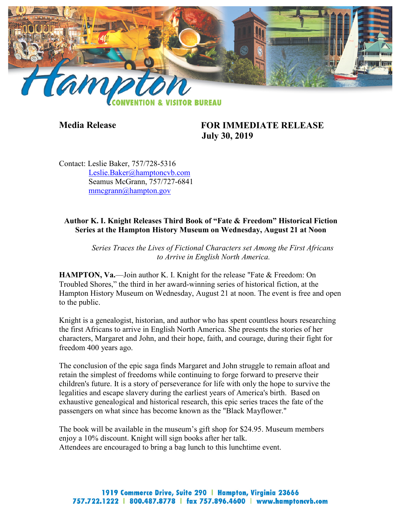

## **Media Release FOR IMMEDIATE RELEASE July 30, 2019**

Contact: Leslie Baker, 757/728-5316 [Leslie.Baker@hamptoncvb.com](mailto:Leslie.Baker@hamptoncvb.com) Seamus McGrann, 757/727-6841 [mmcgrann@hampton.gov](mailto:mmcgrann@hampton.gov)

## **Author K. I. Knight Releases Third Book of "Fate & Freedom" Historical Fiction Series at the Hampton History Museum on Wednesday, August 21 at Noon**

*Series Traces the Lives of Fictional Characters set Among the First Africans to Arrive in English North America.*

**HAMPTON, Va.**—Join author K. I. Knight for the release "Fate & Freedom: On Troubled Shores," the third in her award-winning series of historical fiction, at the Hampton History Museum on Wednesday, August 21 at noon. The event is free and open to the public.

Knight is a genealogist, historian, and author who has spent countless hours researching the first Africans to arrive in English North America. She presents the stories of her characters, Margaret and John, and their hope, faith, and courage, during their fight for freedom 400 years ago.

The conclusion of the epic saga finds Margaret and John struggle to remain afloat and retain the simplest of freedoms while continuing to forge forward to preserve their children's future. It is a story of perseverance for life with only the hope to survive the legalities and escape slavery during the earliest years of America's birth. Based on exhaustive genealogical and historical research, this epic series traces the fate of the passengers on what since has become known as the "Black Mayflower."

The book will be available in the museum's gift shop for \$24.95. Museum members enjoy a 10% discount. Knight will sign books after her talk. Attendees are encouraged to bring a bag lunch to this lunchtime event.